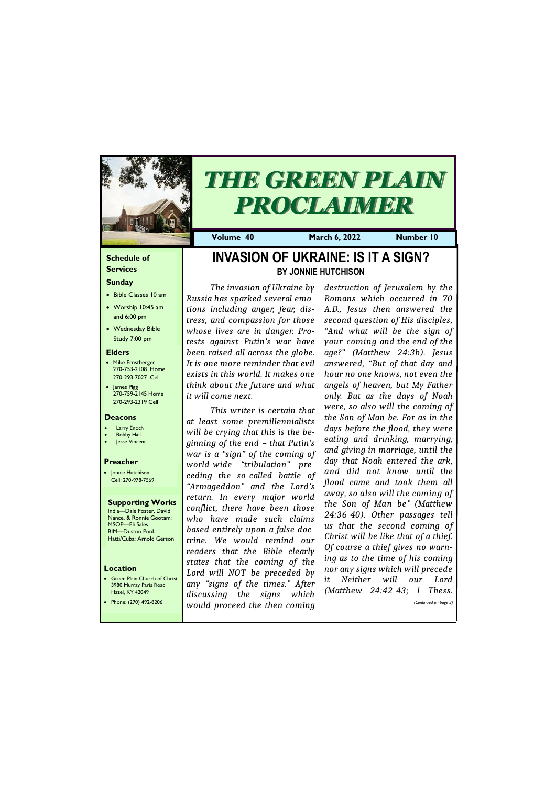## **Schedule of Services**

## **Sunday**

- Bible Classes 10 am
- Worship 10:45 am and 6:00 pm
- Wednesday Bible Study 7:00 pm

• Green Plain Church of Christ 3980 Murray Paris Road  $H<sub>27</sub>ol$ , KY 42

#### **Elders**

- Mike Ernstberger 270-753-2108 Home 270-293-7027 Cell
- James Pigg 270-759-2145 Home 270-293-2319 Cell

#### **Location**



# *THE GREEN PLAIN PROCLAIMER*

**Volume 40 March 6, 2022 Number 10**

#### **Deacons**

- **Larry Enoch**
- **Bobby Hall**
- Jesse Vincent

## **Preacher**

• Jonnie Hutchison Cell: 270-978-7569

#### **Supporting Works** India—Dale Foster, David

Nance. & Ronnie Gootam; MSOP—Eli Sales BIM—Duston Pool. Hatti/Cuba: Arnold Gerson

# **INVASION OF UKRAINE: IS IT A SIGN? BY JONNIE HUTCHISON**

*The invasion of Ukraine by Russia has sparked several emotions including anger, fear, distress, and compassion for those whose lives are in danger. Protests against Putin's war have been raised all across the globe. It is one more reminder that evil exists in this world. It makes one think about the future and what it will come next.*

*This writer is certain that at least some premillennialists will be crying that this is the beginning of the end – that Putin's war is a "sign" of the coming of world-wide "tribulation" preceding the so-called battle of "Armageddon" and the Lord's return. In every major world conflict, there have been those who have made such claims based entirely upon a false doctrine. We would remind our readers that the Bible clearly states that the coming of the Lord will NOT be preceded by any "signs of the times." After* 

| Hazel, KY 42049       | discussing                    | the signs | which | (MULLILEW) | 24:42-43; I | 1 III ess. 1          |
|-----------------------|-------------------------------|-----------|-------|------------|-------------|-----------------------|
| Phone: (270) 492-8206 | would proceed the then coming |           |       |            |             | (Continued on page 3) |
|                       |                               |           |       |            |             |                       |

*destruction of Jerusalem by the Romans which occurred in 70 A.D., Jesus then answered the second question of His disciples, "And what will be the sign of your coming and the end of the age?" (Matthew 24:3b). Jesus answered, "But of that day and hour no one knows, not even the angels of heaven, but My Father only. But as the days of Noah were, so also will the coming of the Son of Man be. For as in the days before the flood, they were eating and drinking, marrying, and giving in marriage, until the day that Noah entered the ark, and did not know until the flood came and took them all away, so also will the coming of the Son of Man be" (Matthew 24:36-40). Other passages tell us that the second coming of Christ will be like that of a thief. Of course a thief gives no warning as to the time of his coming nor any signs which will precede it Neither will our Lord (Matthew 24:42-43; 1 Thess.*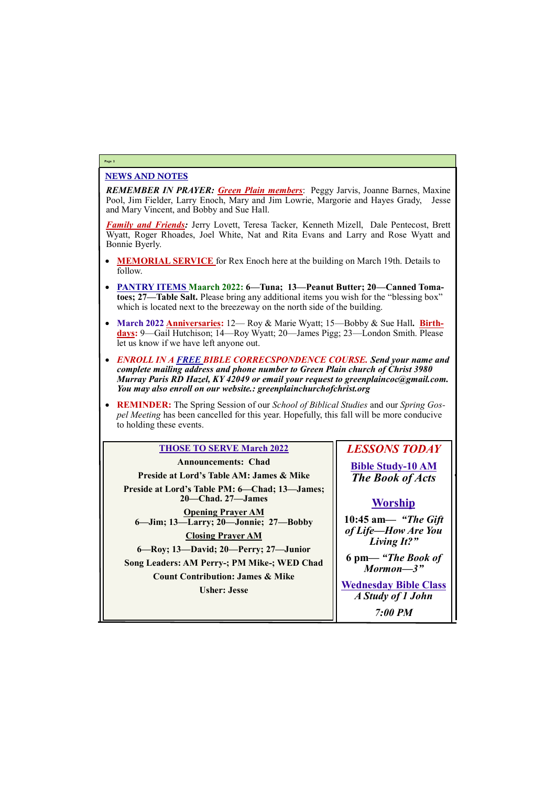# NEWS AND NOTES

*REMEMBER IN PRAYER: Green Plain members*: Peggy Jarvis, Joanne Barnes, Maxine Pool, Jim Fielder, Larry Enoch, Mary and Jim Lowrie, Margorie and Hayes Grady, Jesse and Mary Vincent, and Bobby and Sue Hall.

*Family and Friends:* Jerry Lovett, Teresa Tacker, Kenneth Mizell, Dale Pentecost, Brett Wyatt, Roger Rhoades, Joel White, Nat and Rita Evans and Larry and Rose Wyatt and Bonnie Byerly.

- **MEMORIAL SERVICE** for Rex Enoch here at the building on March 19th. Details to follow.
- **PANTRY ITEMS Maarch 2022: 6—Tuna; 13—Peanut Butter; 20—Canned Tomatoes; 27—Table Salt.** Please bring any additional items you wish for the "blessing box" which is located next to the breezeway on the north side of the building.
- March 2022 **Anniversaries:** 12— Roy & Marie Wyatt; 15—Bobby & Sue Hall. **Birthdays:** 9—Gail Hutchison; 14—Roy Wyatt; 20—James Pigg; 23—London Smith. Please let us know if we have left anyone out.
- *ENROLL IN A FREE BIBLE CORRECSPONDENCE COURSE. Send your name and complete mailing address and phone number to Green Plain church of Christ 3980 Murray Paris RD Hazel, KY 42049 or email your request to greenplaincoc@gmail.com. You may also enroll on our website.: greenplainchurchofchrist.org*
- **REMINDER:** The Spring Session of our *School of Biblical Studies* and our *Spring Gospel Meeting* has been cancelled for this year. Hopefully, this fall will be more conducive to holding these events.

## **Page 2**

# **THOSE TO SERVE March 2022**

**Announcements: Chad Preside at Lord's Table AM: James & Mike Preside at Lord's Table PM: 6—Chad; 13—James; 20—Chad. 27—James Opening Prayer AM 6—Jim; 13—Larry; 20—Jonnie; 27—Bobby Closing Prayer AM 6—Roy; 13—David; 20—Perry; 27—Junior Song Leaders: AM Perry-; PM Mike-; WED Chad Count Contribution: James & Mike Usher: Jesse**

*LESSONS TODAY* **Bible Study-10 AM** *The Book of Acts*

# **Worship**

**10:45 am***— "The Gift of Life—How Are You Living It?"*

**6 pm—** *"The Book of Mormon—3"*

**Wednesday Bible Class**

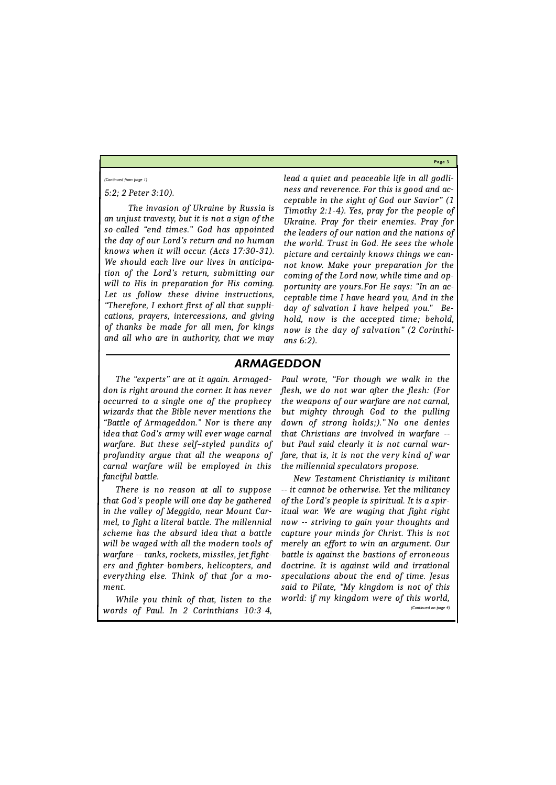**Page 3**

## *5:2; 2 Peter 3:10).*

*The invasion of Ukraine by Russia is an unjust travesty, but it is not a sign of the so-called "end times." God has appointed the day of our Lord's return and no human knows when it will occur. (Acts 17:30-31). We should each live our lives in anticipation of the Lord's return, submitting our will to His in preparation for His coming. Let us follow these divine instructions, "Therefore, I exhort first of all that supplications, prayers, intercessions, and giving of thanks be made for all men, for kings and all who are in authority, that we may*  *lead a quiet and peaceable life in all godliness and reverence. For this is good and acceptable in the sight of God our Savior" (1 Timothy 2:1-4). Yes, pray for the people of Ukraine. Pray for their enemies. Pray for the leaders of our nation and the nations of the world. Trust in God. He sees the whole picture and certainly knows things we cannot know. Make your preparation for the coming of the Lord now, while time and opportunity are yours.For He says: "In an acceptable time I have heard you, And in the day of salvation I have helped you." Behold, now is the accepted time; behold, now is the day of salvation" (2 Corinthians 6:2).*

#### *(Continued from page 1)*

# *ARMAGEDDON*

*The "experts" are at it again. Armageddon is right around the corner. It has never occurred to a single one of the prophecy wizards that the Bible never mentions the "Battle of Armageddon." Nor is there any idea that God's army will ever wage carnal warfare. But these self–styled pundits of profundity argue that all the weapons of carnal warfare will be employed in this fanciful battle.*

*There is no reason at all to suppose that God's people will one day be gathered in the valley of Meggido, near Mount Carmel, to fight a literal battle. The millennial scheme has the absurd idea that a battle will be waged with all the modern tools of warfare -- tanks, rockets, missiles, jet fighters and fighter-bombers, helicopters, and everything else. Think of that for a moment.*

*Paul wrote, "For though we walk in the flesh, we do not war after the flesh: (For the weapons of our warfare are not carnal, but mighty through God to the pulling down of strong holds;)." No one denies that Christians are involved in warfare - but Paul said clearly it is not carnal warfare, that is, it is not the very kind of war the millennial speculators propose.*

*While you think of that, listen to the words of Paul. In 2 Corinthians 10:3-4, world: if my kingdom were of this world, (Continued on page 4)*

*New Testament Christianity is militant -- it cannot be otherwise. Yet the militancy of the Lord's people is spiritual. It is a spiritual war. We are waging that fight right now -- striving to gain your thoughts and capture your minds for Christ. This is not merely an effort to win an argument. Our battle is against the bastions of erroneous doctrine. It is against wild and irrational speculations about the end of time. Jesus said to Pilate, "My kingdom is not of this*